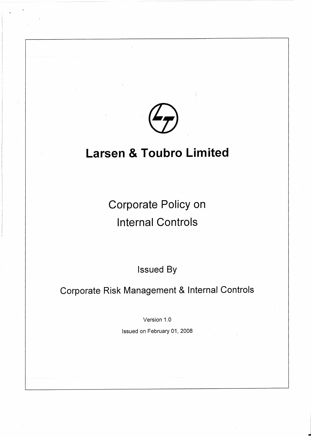

# **Larsen & Toubro Limited**

Corporate Policy on Internal Controls

Issued By

Corporate Risk Management & Internal Controls

Version 1.0

Issued on February 01, 2008

-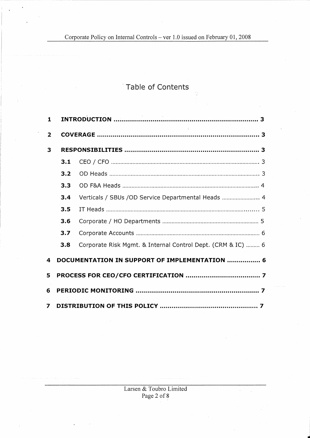Corporate Policy on Internal Controls - ver 1.0 issued on February 01, 2008

# Table of Contents

| $\mathbf{1}$   |                                               |                                                             |
|----------------|-----------------------------------------------|-------------------------------------------------------------|
| $\overline{2}$ |                                               |                                                             |
| 3              |                                               |                                                             |
|                | 3.1                                           |                                                             |
|                | 3.2                                           |                                                             |
|                | 3.3                                           |                                                             |
|                | 3.4                                           | Verticals / SBUs / OD Service Departmental Heads  4         |
|                | 3.5                                           |                                                             |
|                | 3.6                                           |                                                             |
|                | 3.7                                           |                                                             |
|                | 3.8                                           | Corporate Risk Mgmt. & Internal Control Dept. (CRM & IC)  6 |
| 4              | DOCUMENTATION IN SUPPORT OF IMPLEMENTATION  6 |                                                             |
| 5              |                                               |                                                             |
| 6              |                                               |                                                             |
| 7              |                                               |                                                             |

**1111** 

 $\hat{\mathcal{L}}$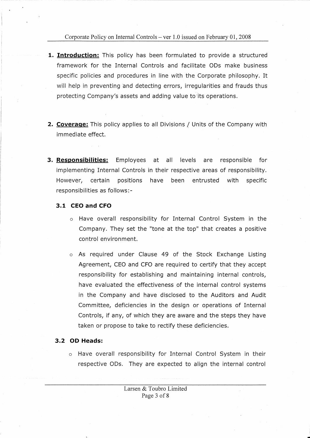Corporate Policy on Internal Controls – ver  $1.0$  issued on February 01, 2008

- **1. Introduction:** This policy has been formulated to provide a structured framework for the Internal Controls and facilitate ODs make business specific policies and procedures in line with the Corporate philosophy. It will help in preventing and detecting errors, irregularities and frauds thus protecting Company's assets and adding value to 'its operations.
- **2. Coverage:** This policy applies to all Divisions/ Units of the Company with immediate effect.
- **3. Responsibilities:** Employees at all levels are responsible for implementing Internal Controls in their respective areas of responsibility. However, certain positions have been entrusted with specific responsibilities as follows:-

#### **3.1 CEO and CFO**

- o Have overall responsibility for Internal Control System in the Company. They set the "tone at the top" that creates a positive control environment.
- o As required under Clause 49 of the Stock Exchange Listing Agreement, CEO and CFO are required to certify that they accept responsibility for establishing and maintaining internal controls, have evaluated the effectiveness of the internal control systems in the Company and have disclosed to the Auditors and Audit Committee, deficiencies in the design or operations of Internal Controls, if any, of which they are aware and the steps they have taken or propose to take to rectify these deficiencies.

#### **3.2 OD Heads:**

o Have overall responsibility for Internal Control System in their respective ODs. They are expected to align the internal control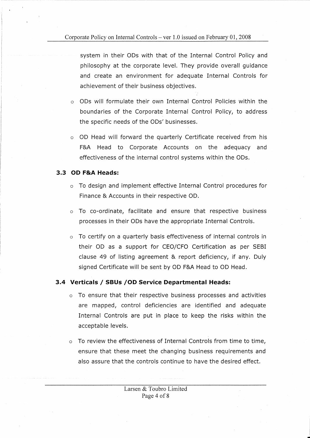system in their ODs with that of the Internal Control Policy and philosophy at the corporate level. They provide overall guidance and create an environment for adequate Internal Controls for achievement of their business objectives.

- $\circ$  ODs will formulate their own Internal Control Policies within the boundaries of the Corporate Internal Control Policy, to address the specific needs of the ODs' businesses.
- o OD Head will forward the quarterly Certificate received from his F&A Head to Corporate Accounts on the adequacy and effectiveness of the internal control systems within the ODs.

#### **3.3 OD F&A Heads:**

- $\circ$  To design and implement effective Internal Control procedures for Finance & Accounts in their respective OD.
- o To co-ordinate, facilitate and ensure that respective business processes in their ODs have the appropriate Internal Controls.
- o To certify on a quarterly basis effectiveness of internal controls in their OD as a support for CEO/CFO Certification as per SEBI clause 49 of listing agreement & report deficiency, if any. Duly signed Certificate will be sent by OD F&A Head to OD Head.

## **3.4 Verticals/ SBUs /OD Service Departmental Heads:**

- o To ensure that their respective business processes and activities are mapped, control deficiencies are identified and adequate Internal Controls are put in place to keep the risks within the acceptable levels.
- o To review the effectiveness of Internal Controls from time to time, ensure that these meet the changing business requirements and also assure that the controls continue to have the desired effect.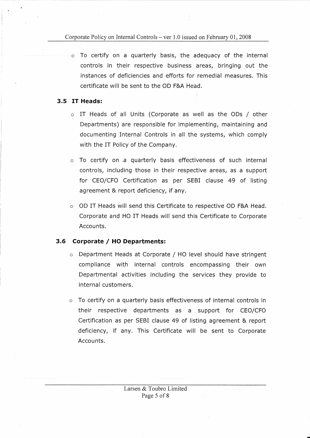#### Corporate Policy on Internal Controls – ver  $1.0$  issued on February 01, 2008

o To certify on a quarterly basis, the adequacy of the internal controls in their respective business areas, bringing out the instances of deficiencies and efforts for remedial measures. This certificate will be sent to the OD F&A Head.

#### **3.5 IT Heads:**

- o IT Heads of all Units (Corporate as well as the ODs / other Departments) are responsible for implementing, maintaining and documenting Internal Controls in all the systems, which comply with the IT Policy of the Company.
- o To certify on ,a quarterly basis effectiveness of such internal controls, including those in their respective areas, as a support for CEO/CFO Certification as per SEBI clause 49 of listing agreement & report deficiency, if any.
- o OD IT Heads will send this Certificate to respective OD F&A Head. Corporate and HO IT Heads will send this Certificate to Corporate Accounts.

#### **3.6 Corporate / HO Departments:**

- o Department Heads at Corporate / HO level should have stringent compliance with internal controls encompassing their own Departmental activities including the services they provide to internal customers.
- o To certify on a quarterly basis effectiveness of internal controls in their respective departments as a support for CEO/CFO Certification as per SEBI clause 49 of listing agreement & report deficiency, if any. This Certificate will be sent to Corporate Accounts.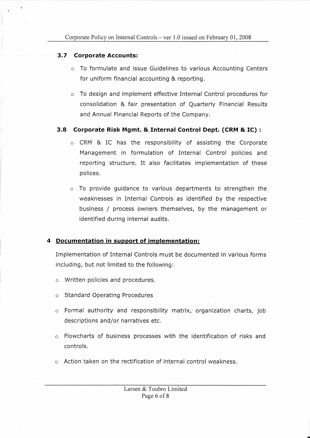#### **3.7 Corporate Accounts:**

- o To formulate and issue Guidelines to various Accounting Centers for uniform financial accounting & reporting.
- o To design and implement effective Internal Control procedures for consolidation & fair presentation of Quarterly Financial Results and Annual Financial Reports of the Company.

#### **3.8 Corporate Risk Mgmt. & Internal Control Dept. (CRM** & **IC)** :

- o CRM & IC has the responsibility of assisting the Corporate Management in formulation of Internal Control policies and reporting structure. It also facilitates implementation of these polices.
- o To provide guidance to various departments to strengthen the weaknesses in Internal Controls as identified by the respective business / process owners themselves, by the management or identified during internal audits.

## **4 Documentation in support of implementation:**

Implementation of Internal Controls must be documented in various forms including, but not limited to the following:

- o Written policies and procedures.
- o Standard Operating Procedures
- o Formal authority and responsibility matrix, organization charts, job descriptions and/or narratives etc.
- $\circ$  Flowcharts of business processes with the identification of risks and controls.
- $\circ$  Action taken on the rectification of internal control weakness.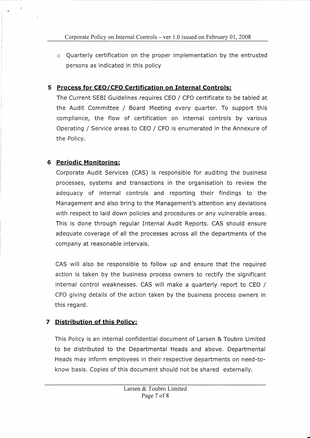o Quarterly certification on the proper implementation by the entrusted persons as indicated in this policy

#### **5 Process for CEO/CFO Certification on Internal Controls:**

The Current SEBI Guidelines requires CEO/ CFO certificate to be tabled at the Audit Committee / Board Meeting every quarter. To support this compliance, the flow of certification on internal controls by various Operating / Service areas to CEO / CFO is enumerated in the Annexure of the Policy.

#### **6 Periodic Monitoring:**

Corporate Audit Services (CAS) is responsible for auditing the business processes, systems and transactions in the organisation to review the adequacy of internal controls and reporting their findings to the Management and also bring to the Management's attention any deviations with respect to laid down policies and procedures or any vulnerable areas. This is done through regular Internal Audit Reports. CAS should ensure adequate coverage of all the processes across all the departments of the company at reasonable intervals.

CAS will also be responsible to follow up and ensure that the required action is taken by the business process owners to rectify the significant internal control weaknesses. CAS will make a quarterly report to CEO / CFO giving details of the action taken by the business process owners in this regard.

#### **7 Distribution of this Policy:**

This Policy is an internal confidential document of Larsen & Toubro Limited to be distributed to the Departmental Heads and above. Departmental Heads may inform employees in their respective departments on need-toknow basis. Copies of this document should not be shared externally.